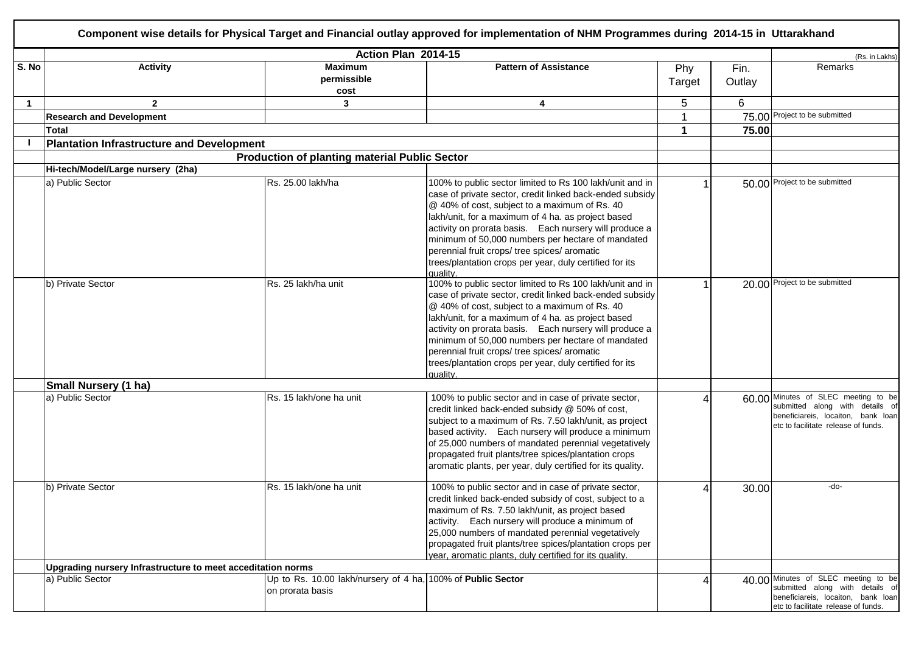|       | Component wise details for Physical Target and Financial outlay approved for implementation of NHM Programmes during 2014-15 in Uttarakhand |                                                                                 |                                                                                                                                                                                                                                                                                                                                                                                                                                                                   |               |                |                                                                                                                                                     |  |  |
|-------|---------------------------------------------------------------------------------------------------------------------------------------------|---------------------------------------------------------------------------------|-------------------------------------------------------------------------------------------------------------------------------------------------------------------------------------------------------------------------------------------------------------------------------------------------------------------------------------------------------------------------------------------------------------------------------------------------------------------|---------------|----------------|-----------------------------------------------------------------------------------------------------------------------------------------------------|--|--|
|       |                                                                                                                                             |                                                                                 | Action Plan 2014-15                                                                                                                                                                                                                                                                                                                                                                                                                                               |               |                | (Rs. in Lakhs)                                                                                                                                      |  |  |
| S. No | <b>Activity</b>                                                                                                                             | <b>Maximum</b><br>permissible<br>cost                                           | <b>Pattern of Assistance</b>                                                                                                                                                                                                                                                                                                                                                                                                                                      | Phy<br>Target | Fin.<br>Outlay | Remarks                                                                                                                                             |  |  |
| -1    | $\mathbf{2}$                                                                                                                                | 3                                                                               | 4                                                                                                                                                                                                                                                                                                                                                                                                                                                                 | 5             | 6              |                                                                                                                                                     |  |  |
|       | <b>Research and Development</b>                                                                                                             |                                                                                 |                                                                                                                                                                                                                                                                                                                                                                                                                                                                   |               |                | 75.00 Project to be submitted                                                                                                                       |  |  |
|       | <b>Total</b>                                                                                                                                |                                                                                 |                                                                                                                                                                                                                                                                                                                                                                                                                                                                   |               | 75.00          |                                                                                                                                                     |  |  |
|       | <b>Plantation Infrastructure and Development</b>                                                                                            |                                                                                 |                                                                                                                                                                                                                                                                                                                                                                                                                                                                   |               |                |                                                                                                                                                     |  |  |
|       |                                                                                                                                             | <b>Production of planting material Public Sector</b>                            |                                                                                                                                                                                                                                                                                                                                                                                                                                                                   |               |                |                                                                                                                                                     |  |  |
|       | Hi-tech/Model/Large nursery (2ha)                                                                                                           |                                                                                 |                                                                                                                                                                                                                                                                                                                                                                                                                                                                   |               |                |                                                                                                                                                     |  |  |
|       | a) Public Sector                                                                                                                            | Rs. 25.00 lakh/ha                                                               | 100% to public sector limited to Rs 100 lakh/unit and in<br>case of private sector, credit linked back-ended subsidy<br>@ 40% of cost, subject to a maximum of Rs. 40<br>lakh/unit, for a maximum of 4 ha. as project based<br>activity on prorata basis. Each nursery will produce a<br>minimum of 50,000 numbers per hectare of mandated<br>perennial fruit crops/ tree spices/ aromatic<br>trees/plantation crops per year, duly certified for its<br>quality. |               |                | 50.00 Project to be submitted                                                                                                                       |  |  |
|       | b) Private Sector                                                                                                                           | Rs. 25 lakh/ha unit                                                             | 100% to public sector limited to Rs 100 lakh/unit and in<br>case of private sector, credit linked back-ended subsidy<br>@ 40% of cost, subject to a maximum of Rs. 40<br>lakh/unit, for a maximum of 4 ha. as project based<br>activity on prorata basis. Each nursery will produce a<br>minimum of 50,000 numbers per hectare of mandated<br>perennial fruit crops/ tree spices/ aromatic<br>trees/plantation crops per year, duly certified for its<br>quality. |               |                | 20.00 Project to be submitted                                                                                                                       |  |  |
|       | <b>Small Nursery (1 ha)</b>                                                                                                                 |                                                                                 |                                                                                                                                                                                                                                                                                                                                                                                                                                                                   |               |                |                                                                                                                                                     |  |  |
|       | a) Public Sector                                                                                                                            | Rs. 15 lakh/one ha unit                                                         | 100% to public sector and in case of private sector,<br>credit linked back-ended subsidy @ 50% of cost,<br>subject to a maximum of Rs. 7.50 lakh/unit, as project<br>based activity. Each nursery will produce a minimum<br>of 25,000 numbers of mandated perennial vegetatively<br>propagated fruit plants/tree spices/plantation crops<br>aromatic plants, per year, duly certified for its quality.                                                            |               |                | 60.00 Minutes of SLEC meeting to be<br>submitted along with details of<br>beneficiareis, locaiton, bank loan<br>etc to facilitate release of funds. |  |  |
|       | b) Private Sector                                                                                                                           | Rs. 15 lakh/one ha unit                                                         | 100% to public sector and in case of private sector,<br>credit linked back-ended subsidy of cost, subject to a<br>maximum of Rs. 7.50 lakh/unit, as project based<br>activity. Each nursery will produce a minimum of<br>25,000 numbers of mandated perennial vegetatively<br>propagated fruit plants/tree spices/plantation crops per<br>year, aromatic plants, duly certified for its quality.                                                                  |               | 30.00          | -do-                                                                                                                                                |  |  |
|       | Upgrading nursery Infrastructure to meet acceditation norms                                                                                 |                                                                                 |                                                                                                                                                                                                                                                                                                                                                                                                                                                                   |               |                |                                                                                                                                                     |  |  |
|       | a) Public Sector                                                                                                                            | Up to Rs. 10.00 lakh/nursery of 4 ha, 100% of Public Sector<br>on prorata basis |                                                                                                                                                                                                                                                                                                                                                                                                                                                                   |               |                | 40.00 Minutes of SLEC meeting to be<br>submitted along with details of<br>beneficiareis, locaiton, bank loan<br>etc to facilitate release of funds. |  |  |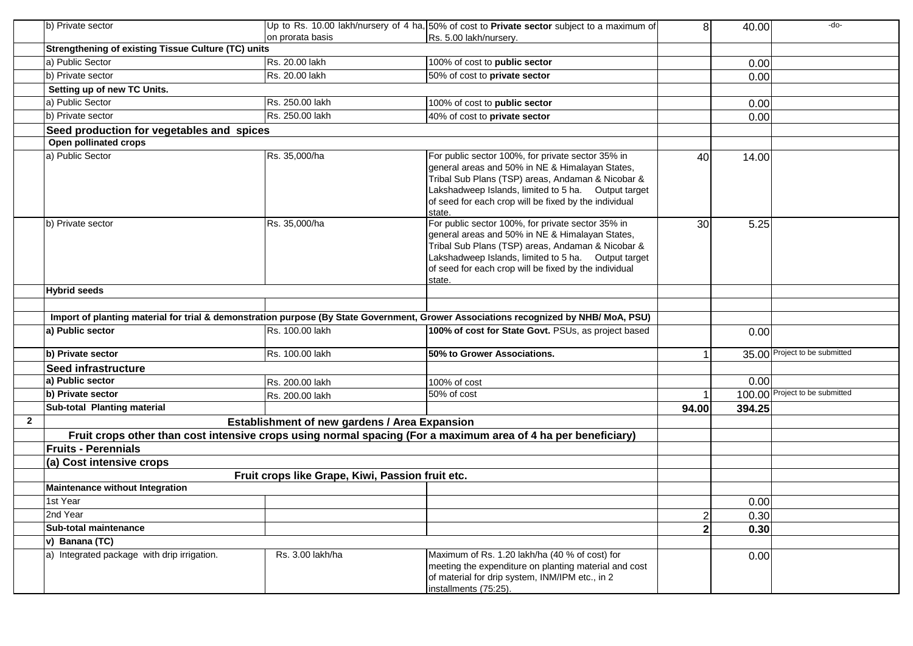|              | b) Private sector                                                                                                                    |                                                  | Up to Rs. 10.00 lakh/nursery of 4 ha, $50\%$ of cost to <b>Private sector</b> subject to a maximum of                                                                                                                                                                               | 8 <sup>1</sup> | 40.00  | -do-                           |
|--------------|--------------------------------------------------------------------------------------------------------------------------------------|--------------------------------------------------|-------------------------------------------------------------------------------------------------------------------------------------------------------------------------------------------------------------------------------------------------------------------------------------|----------------|--------|--------------------------------|
|              |                                                                                                                                      | on prorata basis                                 | Rs. 5.00 lakh/nursery.                                                                                                                                                                                                                                                              |                |        |                                |
|              | <b>Strengthening of existing Tissue Culture (TC) units</b>                                                                           |                                                  |                                                                                                                                                                                                                                                                                     |                |        |                                |
|              | a) Public Sector                                                                                                                     | Rs. 20.00 lakh                                   | 100% of cost to public sector                                                                                                                                                                                                                                                       |                | 0.00   |                                |
|              | b) Private sector                                                                                                                    | Rs. 20.00 lakh                                   | 50% of cost to private sector                                                                                                                                                                                                                                                       |                | 0.00   |                                |
|              | Setting up of new TC Units.                                                                                                          |                                                  |                                                                                                                                                                                                                                                                                     |                |        |                                |
|              | a) Public Sector                                                                                                                     | Rs. 250.00 lakh                                  | 100% of cost to public sector                                                                                                                                                                                                                                                       |                | 0.00   |                                |
|              | b) Private sector                                                                                                                    | Rs. 250.00 lakh                                  | 40% of cost to private sector                                                                                                                                                                                                                                                       |                | 0.00   |                                |
|              | Seed production for vegetables and spices                                                                                            |                                                  |                                                                                                                                                                                                                                                                                     |                |        |                                |
|              | Open pollinated crops                                                                                                                |                                                  |                                                                                                                                                                                                                                                                                     |                |        |                                |
|              | a) Public Sector                                                                                                                     | Rs. 35,000/ha                                    | For public sector 100%, for private sector 35% in<br>general areas and 50% in NE & Himalayan States,<br>Tribal Sub Plans (TSP) areas, Andaman & Nicobar &<br>Lakshadweep Islands, limited to 5 ha. Output target<br>of seed for each crop will be fixed by the individual<br>state. | 40             | 14.00  |                                |
|              | b) Private sector                                                                                                                    | Rs. 35,000/ha                                    | For public sector 100%, for private sector 35% in<br>general areas and 50% in NE & Himalayan States,<br>Tribal Sub Plans (TSP) areas, Andaman & Nicobar &<br>Lakshadweep Islands, limited to 5 ha. Output target<br>of seed for each crop will be fixed by the individual<br>state. | 30             | 5.25   |                                |
|              | <b>Hybrid seeds</b>                                                                                                                  |                                                  |                                                                                                                                                                                                                                                                                     |                |        |                                |
|              |                                                                                                                                      |                                                  |                                                                                                                                                                                                                                                                                     |                |        |                                |
|              | Import of planting material for trial & demonstration purpose (By State Government, Grower Associations recognized by NHB/ MoA, PSU) |                                                  |                                                                                                                                                                                                                                                                                     |                |        |                                |
|              | a) Public sector                                                                                                                     | Rs. 100.00 lakh                                  | 100% of cost for State Govt. PSUs, as project based                                                                                                                                                                                                                                 |                | 0.00   |                                |
|              | b) Private sector                                                                                                                    | Rs. 100.00 lakh                                  | 50% to Grower Associations.                                                                                                                                                                                                                                                         |                |        | 35.00 Project to be submitted  |
|              | <b>Seed infrastructure</b>                                                                                                           |                                                  |                                                                                                                                                                                                                                                                                     |                |        |                                |
|              | a) Public sector                                                                                                                     | Rs. 200.00 lakh                                  | 100% of cost                                                                                                                                                                                                                                                                        |                | 0.00   |                                |
|              | b) Private sector                                                                                                                    | Rs. 200.00 lakh                                  | 50% of cost                                                                                                                                                                                                                                                                         |                |        | 100.00 Project to be submitted |
|              | Sub-total Planting material                                                                                                          |                                                  |                                                                                                                                                                                                                                                                                     | 94.00          | 394.25 |                                |
| $\mathbf{2}$ |                                                                                                                                      | Establishment of new gardens / Area Expansion    |                                                                                                                                                                                                                                                                                     |                |        |                                |
|              |                                                                                                                                      |                                                  | Fruit crops other than cost intensive crops using normal spacing (For a maximum area of 4 ha per beneficiary)                                                                                                                                                                       |                |        |                                |
|              | <b>Fruits - Perennials</b>                                                                                                           |                                                  |                                                                                                                                                                                                                                                                                     |                |        |                                |
|              | (a) Cost intensive crops                                                                                                             |                                                  |                                                                                                                                                                                                                                                                                     |                |        |                                |
|              |                                                                                                                                      | Fruit crops like Grape, Kiwi, Passion fruit etc. |                                                                                                                                                                                                                                                                                     |                |        |                                |
|              | Maintenance without Integration                                                                                                      |                                                  |                                                                                                                                                                                                                                                                                     |                |        |                                |
|              | 1st Year                                                                                                                             |                                                  |                                                                                                                                                                                                                                                                                     |                | 0.00   |                                |
|              | 2nd Year                                                                                                                             |                                                  |                                                                                                                                                                                                                                                                                     | $\mathbf{2}$   | 0.30   |                                |
|              | Sub-total maintenance                                                                                                                |                                                  |                                                                                                                                                                                                                                                                                     | 2 <sup>1</sup> | 0.30   |                                |
|              | v) Banana (TC)                                                                                                                       |                                                  |                                                                                                                                                                                                                                                                                     |                |        |                                |
|              | a) Integrated package with drip irrigation.                                                                                          | Rs. 3.00 lakh/ha                                 | Maximum of Rs. 1.20 lakh/ha (40 % of cost) for<br>meeting the expenditure on planting material and cost<br>of material for drip system, INM/IPM etc., in 2<br>installments (75:25).                                                                                                 |                | 0.00   |                                |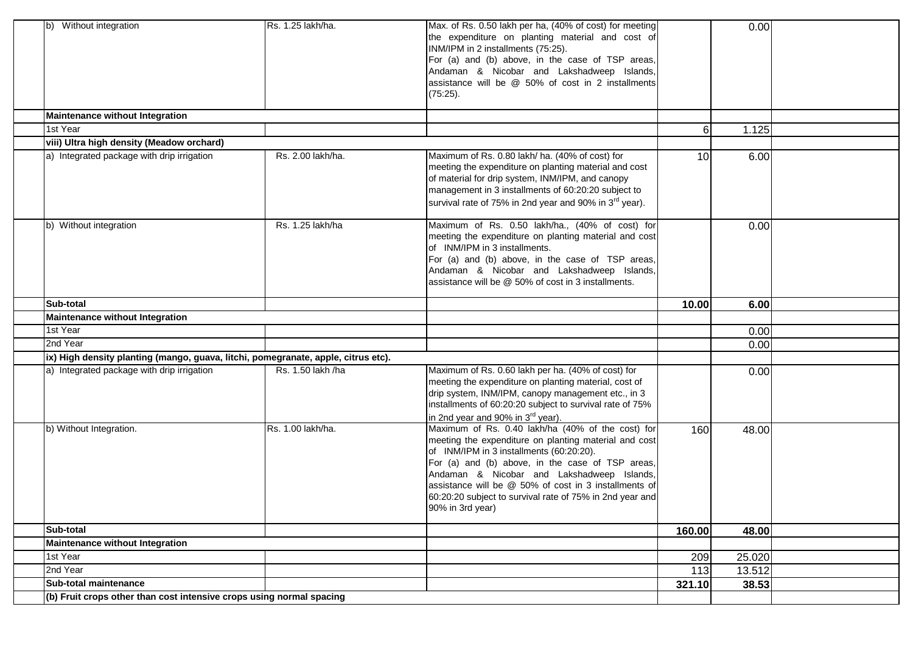| b) Without integration                                                            | Rs. 1.25 lakh/ha. | Max. of Rs. 0.50 lakh per ha, (40% of cost) for meeting<br>the expenditure on planting material and cost of<br>INM/IPM in 2 installments (75:25).<br>For (a) and (b) above, in the case of TSP areas,<br>Andaman & Nicobar and Lakshadweep Islands,<br>assistance will be @ 50% of cost in 2 installments<br>(75:25).                                                                             |                  | 0.00   |  |
|-----------------------------------------------------------------------------------|-------------------|---------------------------------------------------------------------------------------------------------------------------------------------------------------------------------------------------------------------------------------------------------------------------------------------------------------------------------------------------------------------------------------------------|------------------|--------|--|
| Maintenance without Integration                                                   |                   |                                                                                                                                                                                                                                                                                                                                                                                                   |                  |        |  |
| 1st Year                                                                          |                   |                                                                                                                                                                                                                                                                                                                                                                                                   | $6 \overline{6}$ | 1.125  |  |
| viii) Ultra high density (Meadow orchard)                                         |                   |                                                                                                                                                                                                                                                                                                                                                                                                   |                  |        |  |
| a) Integrated package with drip irrigation                                        | Rs. 2.00 lakh/ha. | Maximum of Rs. 0.80 lakh/ ha. (40% of cost) for<br>meeting the expenditure on planting material and cost<br>of material for drip system, INM/IPM, and canopy<br>management in 3 installments of 60:20:20 subject to<br>survival rate of 75% in 2nd year and 90% in 3 <sup>rd</sup> year).                                                                                                         | 10               | 6.00   |  |
| b) Without integration                                                            | Rs. 1.25 lakh/ha  | Maximum of Rs. 0.50 lakh/ha., (40% of cost) for<br>meeting the expenditure on planting material and cost<br>of INM/IPM in 3 installments.<br>For (a) and (b) above, in the case of TSP areas,<br>Andaman & Nicobar and Lakshadweep Islands,<br>assistance will be @ 50% of cost in 3 installments.                                                                                                |                  | 0.00   |  |
| <b>Sub-total</b>                                                                  |                   |                                                                                                                                                                                                                                                                                                                                                                                                   | 10.00            | 6.00   |  |
| Maintenance without Integration                                                   |                   |                                                                                                                                                                                                                                                                                                                                                                                                   |                  |        |  |
| 1st Year                                                                          |                   |                                                                                                                                                                                                                                                                                                                                                                                                   |                  | 0.00   |  |
| 2nd Year                                                                          |                   |                                                                                                                                                                                                                                                                                                                                                                                                   |                  | 0.00   |  |
| ix) High density planting (mango, guava, litchi, pomegranate, apple, citrus etc). |                   |                                                                                                                                                                                                                                                                                                                                                                                                   |                  |        |  |
| a) Integrated package with drip irrigation                                        | Rs. 1.50 lakh /ha | Maximum of Rs. 0.60 lakh per ha. (40% of cost) for<br>meeting the expenditure on planting material, cost of<br>drip system, INM/IPM, canopy management etc., in 3<br>installments of 60:20:20 subject to survival rate of 75%<br>in 2nd year and 90% in 3 <sup>rd</sup> year).                                                                                                                    |                  | 0.00   |  |
| b) Without Integration.                                                           | Rs. 1.00 lakh/ha. | Maximum of Rs. 0.40 lakh/ha (40% of the cost) for<br>meeting the expenditure on planting material and cost<br>of INM/IPM in 3 installments (60:20:20).<br>For (a) and (b) above, in the case of TSP areas,<br>Andaman & Nicobar and Lakshadweep Islands,<br>assistance will be @ 50% of cost in 3 installments of<br>60:20:20 subject to survival rate of 75% in 2nd year and<br>90% in 3rd year) | 160              | 48.00  |  |
| Sub-total                                                                         |                   |                                                                                                                                                                                                                                                                                                                                                                                                   | 160.00           | 48.00  |  |
| Maintenance without Integration                                                   |                   |                                                                                                                                                                                                                                                                                                                                                                                                   |                  |        |  |
| 1st Year                                                                          |                   |                                                                                                                                                                                                                                                                                                                                                                                                   | 209              | 25.020 |  |
| 2nd Year                                                                          |                   |                                                                                                                                                                                                                                                                                                                                                                                                   | 113              | 13.512 |  |
| Sub-total maintenance                                                             |                   |                                                                                                                                                                                                                                                                                                                                                                                                   | 321.10           | 38.53  |  |
| (b) Fruit crops other than cost intensive crops using normal spacing              |                   |                                                                                                                                                                                                                                                                                                                                                                                                   |                  |        |  |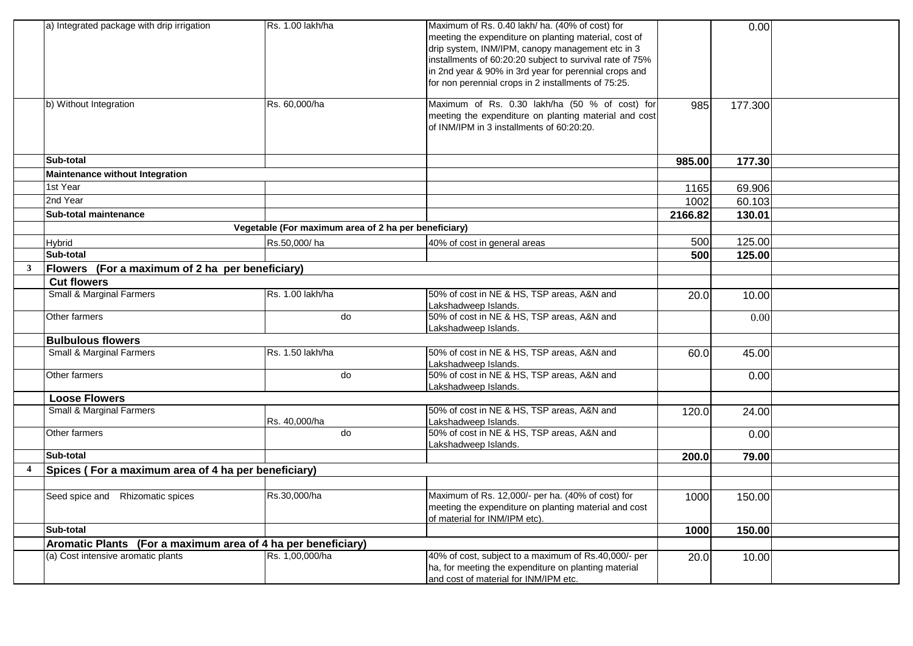|                         | a) Integrated package with drip irrigation                   | Rs. 1.00 lakh/ha                                     | Maximum of Rs. 0.40 lakh/ ha. (40% of cost) for<br>meeting the expenditure on planting material, cost of<br>drip system, INM/IPM, canopy management etc in 3<br>installments of 60:20:20 subject to survival rate of 75%<br>in 2nd year & 90% in 3rd year for perennial crops and<br>for non perennial crops in 2 installments of 75:25. |         | 0.00    |  |
|-------------------------|--------------------------------------------------------------|------------------------------------------------------|------------------------------------------------------------------------------------------------------------------------------------------------------------------------------------------------------------------------------------------------------------------------------------------------------------------------------------------|---------|---------|--|
|                         | b) Without Integration                                       | Rs. 60,000/ha                                        | Maximum of Rs. 0.30 lakh/ha (50 % of cost) for<br>meeting the expenditure on planting material and cost<br>of INM/IPM in 3 installments of 60:20:20.                                                                                                                                                                                     | 985     | 177.300 |  |
|                         | Sub-total                                                    |                                                      |                                                                                                                                                                                                                                                                                                                                          | 985.00  | 177.30  |  |
|                         | Maintenance without Integration                              |                                                      |                                                                                                                                                                                                                                                                                                                                          |         |         |  |
|                         | 1st Year                                                     |                                                      |                                                                                                                                                                                                                                                                                                                                          | 1165    | 69.906  |  |
|                         | 2nd Year                                                     |                                                      |                                                                                                                                                                                                                                                                                                                                          | 1002    | 60.103  |  |
|                         | Sub-total maintenance                                        |                                                      |                                                                                                                                                                                                                                                                                                                                          | 2166.82 | 130.01  |  |
|                         |                                                              | Vegetable (For maximum area of 2 ha per beneficiary) |                                                                                                                                                                                                                                                                                                                                          |         |         |  |
|                         | Hybrid                                                       | Rs.50.000/ha                                         | 40% of cost in general areas                                                                                                                                                                                                                                                                                                             | 500     | 125.00  |  |
|                         | Sub-total                                                    |                                                      |                                                                                                                                                                                                                                                                                                                                          | 500     | 125.00  |  |
| $\mathbf{3}$            | Flowers (For a maximum of 2 ha per beneficiary)              |                                                      |                                                                                                                                                                                                                                                                                                                                          |         |         |  |
|                         | <b>Cut flowers</b>                                           |                                                      |                                                                                                                                                                                                                                                                                                                                          |         |         |  |
|                         | Small & Marginal Farmers                                     | Rs. 1.00 lakh/ha                                     | 50% of cost in NE & HS, TSP areas, A&N and<br>Lakshadweep Islands.                                                                                                                                                                                                                                                                       | 20.0    | 10.00   |  |
|                         | Other farmers                                                | do                                                   | 50% of cost in NE & HS, TSP areas, A&N and<br>Lakshadweep Islands.                                                                                                                                                                                                                                                                       |         | 0.00    |  |
|                         | <b>Bulbulous flowers</b>                                     |                                                      |                                                                                                                                                                                                                                                                                                                                          |         |         |  |
|                         | Small & Marginal Farmers                                     | Rs. 1.50 lakh/ha                                     | 50% of cost in NE & HS, TSP areas, A&N and<br>Lakshadweep Islands.                                                                                                                                                                                                                                                                       | 60.0    | 45.00   |  |
|                         | Other farmers                                                | do                                                   | 50% of cost in NE & HS, TSP areas, A&N and<br>Lakshadweep Islands.                                                                                                                                                                                                                                                                       |         | 0.00    |  |
|                         | <b>Loose Flowers</b>                                         |                                                      |                                                                                                                                                                                                                                                                                                                                          |         |         |  |
|                         | <b>Small &amp; Marginal Farmers</b>                          | Rs. 40,000/ha                                        | 50% of cost in NE & HS, TSP areas, A&N and<br>Lakshadweep Islands.                                                                                                                                                                                                                                                                       | 120.0   | 24.00   |  |
|                         | Other farmers                                                | do                                                   | 50% of cost in NE & HS, TSP areas, A&N and<br>Lakshadweep Islands.                                                                                                                                                                                                                                                                       |         | 0.00    |  |
|                         | Sub-total                                                    |                                                      |                                                                                                                                                                                                                                                                                                                                          | 200.0   | 79.00   |  |
| $\overline{\mathbf{4}}$ | Spices (For a maximum area of 4 ha per beneficiary)          |                                                      |                                                                                                                                                                                                                                                                                                                                          |         |         |  |
|                         |                                                              |                                                      |                                                                                                                                                                                                                                                                                                                                          |         |         |  |
|                         | Seed spice and Rhizomatic spices                             | Rs.30,000/ha                                         | Maximum of Rs. 12,000/- per ha. (40% of cost) for<br>meeting the expenditure on planting material and cost<br>of material for INM/IPM etc).                                                                                                                                                                                              | 1000    | 150.00  |  |
|                         | Sub-total                                                    |                                                      |                                                                                                                                                                                                                                                                                                                                          | 1000    | 150.00  |  |
|                         | Aromatic Plants (For a maximum area of 4 ha per beneficiary) |                                                      |                                                                                                                                                                                                                                                                                                                                          |         |         |  |
|                         | (a) Cost intensive aromatic plants                           | Rs. 1,00,000/ha                                      | 40% of cost, subject to a maximum of Rs.40,000/- per<br>ha, for meeting the expenditure on planting material<br>and cost of material for INM/IPM etc.                                                                                                                                                                                    | 20.0    | 10.00   |  |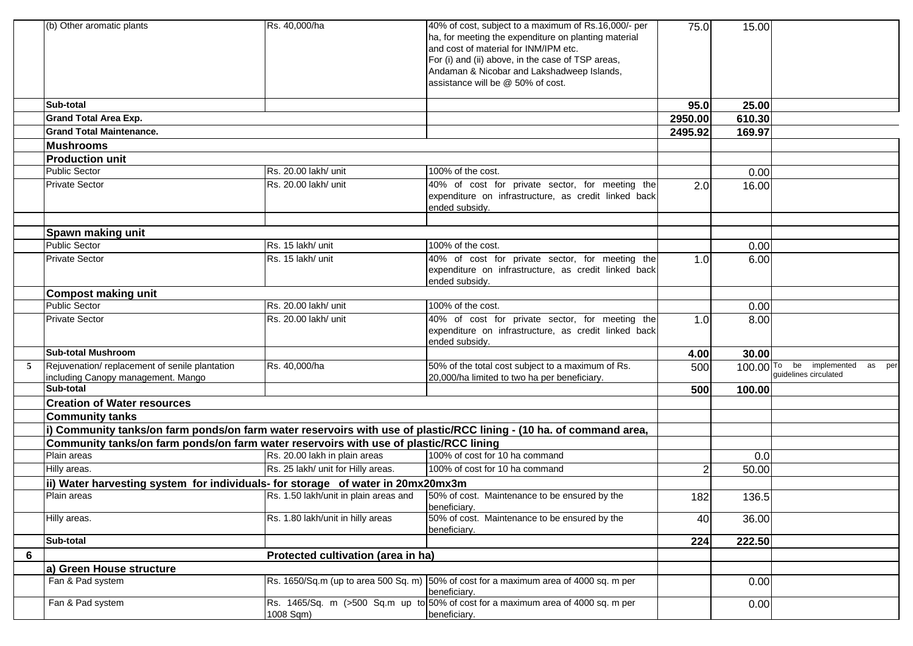|   | (b) Other aromatic plants                                                             | Rs. 40,000/ha                         | 40% of cost, subject to a maximum of Rs.16,000/- per<br>ha, for meeting the expenditure on planting material<br>and cost of material for INM/IPM etc.<br>For (i) and (ii) above, in the case of TSP areas,<br>Andaman & Nicobar and Lakshadweep Islands,<br>lassistance will be @ 50% of cost. | 75.0    | 15.00  |                                                             |
|---|---------------------------------------------------------------------------------------|---------------------------------------|------------------------------------------------------------------------------------------------------------------------------------------------------------------------------------------------------------------------------------------------------------------------------------------------|---------|--------|-------------------------------------------------------------|
|   | Sub-total                                                                             |                                       |                                                                                                                                                                                                                                                                                                | 95.0    | 25.00  |                                                             |
|   | <b>Grand Total Area Exp.</b>                                                          |                                       |                                                                                                                                                                                                                                                                                                | 2950.00 | 610.30 |                                                             |
|   | <b>Grand Total Maintenance.</b>                                                       |                                       |                                                                                                                                                                                                                                                                                                | 2495.92 | 169.97 |                                                             |
|   | <b>Mushrooms</b>                                                                      |                                       |                                                                                                                                                                                                                                                                                                |         |        |                                                             |
|   | <b>Production unit</b>                                                                |                                       |                                                                                                                                                                                                                                                                                                |         |        |                                                             |
|   | <b>Public Sector</b>                                                                  | Rs. 20.00 lakh/ unit                  | 100% of the cost.                                                                                                                                                                                                                                                                              |         | 0.00   |                                                             |
|   | <b>Private Sector</b>                                                                 | Rs. 20.00 lakh/ unit                  | 40% of cost for private sector, for meeting the<br>expenditure on infrastructure, as credit linked back<br>ended subsidy.                                                                                                                                                                      | 2.0     | 16.00  |                                                             |
|   |                                                                                       |                                       |                                                                                                                                                                                                                                                                                                |         |        |                                                             |
|   | Spawn making unit                                                                     |                                       |                                                                                                                                                                                                                                                                                                |         |        |                                                             |
|   | <b>Public Sector</b>                                                                  | Rs. 15 lakh/ unit                     | 100% of the cost.                                                                                                                                                                                                                                                                              |         | 0.00   |                                                             |
|   | <b>Private Sector</b>                                                                 | Rs. 15 lakh/ unit                     | 40% of cost for private sector, for meeting the<br>expenditure on infrastructure, as credit linked back<br>ended subsidy.                                                                                                                                                                      | 1.0     | 6.00   |                                                             |
|   | <b>Compost making unit</b>                                                            |                                       |                                                                                                                                                                                                                                                                                                |         |        |                                                             |
|   | <b>Public Sector</b>                                                                  | Rs. 20.00 lakh/ unit                  | 100% of the cost.                                                                                                                                                                                                                                                                              |         | 0.00   |                                                             |
|   | <b>Private Sector</b>                                                                 | Rs. 20.00 lakh/ unit                  | 40% of cost for private sector, for meeting the<br>expenditure on infrastructure, as credit linked back<br>ended subsidy.                                                                                                                                                                      | 1.0     | 8.00   |                                                             |
|   | <b>Sub-total Mushroom</b>                                                             |                                       |                                                                                                                                                                                                                                                                                                | 4.00    | 30.00  |                                                             |
| 5 | Rejuvenation/replacement of senile plantation<br>including Canopy management. Mango   | Rs. 40,000/ha                         | 50% of the total cost subject to a maximum of Rs.<br>20,000/ha limited to two ha per beneficiary.                                                                                                                                                                                              | 500     |        | 100.00 To be implemented<br>as per<br>guidelines circulated |
|   | Sub-total                                                                             |                                       |                                                                                                                                                                                                                                                                                                | 500     | 100.00 |                                                             |
|   | <b>Creation of Water resources</b>                                                    |                                       |                                                                                                                                                                                                                                                                                                |         |        |                                                             |
|   | <b>Community tanks</b>                                                                |                                       |                                                                                                                                                                                                                                                                                                |         |        |                                                             |
|   |                                                                                       |                                       | i) Community tanks/on farm ponds/on farm water reservoirs with use of plastic/RCC lining - (10 ha. of command area,                                                                                                                                                                            |         |        |                                                             |
|   | Community tanks/on farm ponds/on farm water reservoirs with use of plastic/RCC lining |                                       |                                                                                                                                                                                                                                                                                                |         |        |                                                             |
|   | Plain areas                                                                           | Rs. 20.00 lakh in plain areas         | 100% of cost for 10 ha command                                                                                                                                                                                                                                                                 |         | 0.0    |                                                             |
|   | Hilly areas.                                                                          | Rs. 25 lakh/ unit for Hilly areas.    | 100% of cost for 10 ha command                                                                                                                                                                                                                                                                 | 2       | 50.00  |                                                             |
|   | ii) Water harvesting system for individuals- for storage of water in 20mx20mx3m       |                                       |                                                                                                                                                                                                                                                                                                |         |        |                                                             |
|   | Plain areas                                                                           | Rs. 1.50 lakh/unit in plain areas and | 50% of cost. Maintenance to be ensured by the<br>beneficiary.                                                                                                                                                                                                                                  | 182     | 136.5  |                                                             |
|   | Hilly areas.                                                                          | Rs. 1.80 lakh/unit in hilly areas     | 50% of cost. Maintenance to be ensured by the<br>beneficiary.                                                                                                                                                                                                                                  | 40      | 36.00  |                                                             |
|   | Sub-total                                                                             |                                       |                                                                                                                                                                                                                                                                                                | 224     | 222.50 |                                                             |
| 6 |                                                                                       | Protected cultivation (area in ha)    |                                                                                                                                                                                                                                                                                                |         |        |                                                             |
|   | a) Green House structure                                                              |                                       |                                                                                                                                                                                                                                                                                                |         |        |                                                             |
|   | Fan & Pad system                                                                      |                                       | Rs. 1650/Sq.m (up to area 500 Sq. m) 50% of cost for a maximum area of 4000 sq. m per<br>beneficiary.                                                                                                                                                                                          |         | 0.00   |                                                             |
|   | Fan & Pad system                                                                      | 1008 Sqm)                             | Rs. 1465/Sq. m (>500 Sq.m up to 50% of cost for a maximum area of 4000 sq. m per<br>beneficiary.                                                                                                                                                                                               |         | 0.00   |                                                             |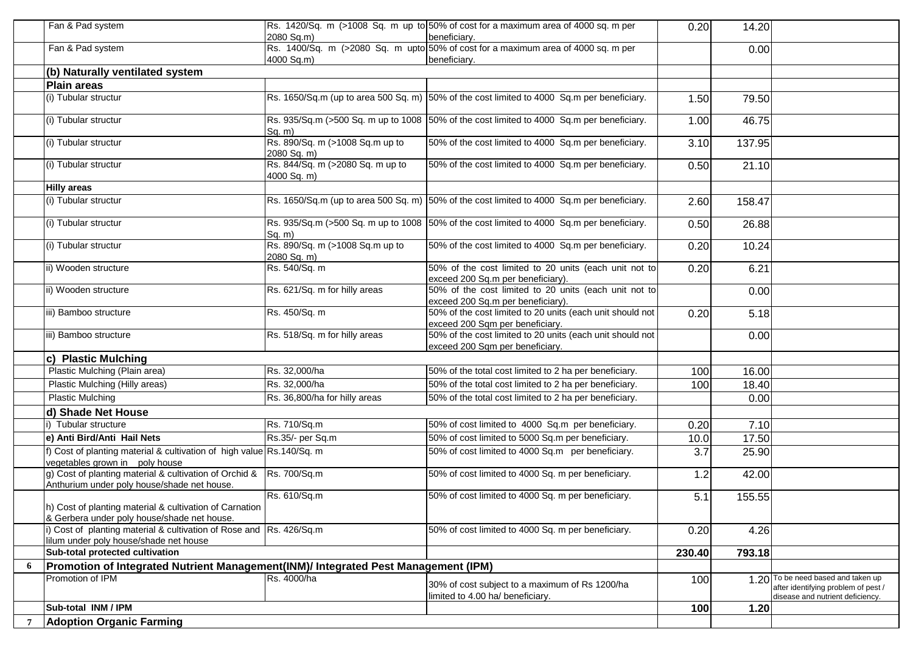|                 | Fan & Pad system                                                                                                   | 2080 Sq.m)                                      | Rs. 1420/Sq. m (>1008 Sq. m up to 50% of cost for a maximum area of 4000 sq. m per<br>beneficiary. | 0.20   | 14.20  |                                                                                                               |
|-----------------|--------------------------------------------------------------------------------------------------------------------|-------------------------------------------------|----------------------------------------------------------------------------------------------------|--------|--------|---------------------------------------------------------------------------------------------------------------|
|                 | Fan & Pad system                                                                                                   |                                                 | Rs. 1400/Sq. m (>2080 Sq. m upto 50% of cost for a maximum area of 4000 sq. m per                  |        | 0.00   |                                                                                                               |
|                 | (b) Naturally ventilated system                                                                                    | 4000 Sq.m)                                      | beneficiary.                                                                                       |        |        |                                                                                                               |
|                 | <b>Plain areas</b>                                                                                                 |                                                 |                                                                                                    |        |        |                                                                                                               |
|                 | (i) Tubular structur                                                                                               |                                                 | Rs. 1650/Sq.m (up to area 500 Sq. m) $ 50\%$ of the cost limited to 4000 Sq.m per beneficiary.     | 1.50   | 79.50  |                                                                                                               |
|                 |                                                                                                                    |                                                 |                                                                                                    |        |        |                                                                                                               |
|                 | (i) Tubular structur                                                                                               | Sq. m)                                          | Rs. 935/Sq.m (>500 Sq. m up to 1008 50% of the cost limited to 4000 Sq.m per beneficiary.          | 1.00   | 46.75  |                                                                                                               |
|                 | (i) Tubular structur                                                                                               | Rs. 890/Sq. m (>1008 Sq.m up to<br>2080 Sq. m)  | 50% of the cost limited to 4000 Sq.m per beneficiary.                                              | 3.10   | 137.95 |                                                                                                               |
|                 | (i) Tubular structur                                                                                               | Rs. 844/Sq. m (>2080 Sq. m up to<br>4000 Sq. m) | 50% of the cost limited to 4000 Sq.m per beneficiary.                                              | 0.50   | 21.10  |                                                                                                               |
|                 | <b>Hilly areas</b>                                                                                                 |                                                 |                                                                                                    |        |        |                                                                                                               |
|                 | (i) Tubular structur                                                                                               |                                                 | Rs. 1650/Sq.m (up to area 500 Sq. m) $ 50\%$ of the cost limited to 4000 Sq.m per beneficiary.     | 2.60   | 158.47 |                                                                                                               |
|                 | (i) Tubular structur                                                                                               | Sq. m)                                          | Rs. 935/Sq.m (>500 Sq. m up to 1008 50% of the cost limited to 4000 Sq.m per beneficiary.          | 0.50   | 26.88  |                                                                                                               |
|                 | (i) Tubular structur                                                                                               | Rs. 890/Sq. m (>1008 Sq.m up to<br>2080 Sq. m)  | 50% of the cost limited to 4000 Sq.m per beneficiary.                                              | 0.20   | 10.24  |                                                                                                               |
|                 | ii) Wooden structure                                                                                               | Rs. 540/Sq. m                                   | 50% of the cost limited to 20 units (each unit not to<br>exceed 200 Sq.m per beneficiary).         | 0.20   | 6.21   |                                                                                                               |
|                 | ii) Wooden structure                                                                                               | Rs. 621/Sq. m for hilly areas                   | 50% of the cost limited to 20 units (each unit not to<br>exceed 200 Sq.m per beneficiary).         |        | 0.00   |                                                                                                               |
|                 | iii) Bamboo structure                                                                                              | Rs. 450/Sq. m                                   | 50% of the cost limited to 20 units (each unit should not<br>exceed 200 Sqm per beneficiary.       | 0.20   | 5.18   |                                                                                                               |
|                 | iii) Bamboo structure                                                                                              | Rs. 518/Sq. m for hilly areas                   | 50% of the cost limited to 20 units (each unit should not<br>exceed 200 Sqm per beneficiary.       |        | 0.00   |                                                                                                               |
|                 | c) Plastic Mulching                                                                                                |                                                 |                                                                                                    |        |        |                                                                                                               |
|                 | Plastic Mulching (Plain area)                                                                                      | Rs. 32,000/ha                                   | 50% of the total cost limited to 2 ha per beneficiary.                                             | 100    | 16.00  |                                                                                                               |
|                 | Plastic Mulching (Hilly areas)                                                                                     | Rs. 32,000/ha                                   | 50% of the total cost limited to 2 ha per beneficiary.                                             | 100    | 18.40  |                                                                                                               |
|                 | <b>Plastic Mulching</b>                                                                                            | Rs. 36,800/ha for hilly areas                   | 50% of the total cost limited to 2 ha per beneficiary.                                             |        | 0.00   |                                                                                                               |
|                 | d) Shade Net House                                                                                                 |                                                 |                                                                                                    |        |        |                                                                                                               |
|                 | Tubular structure                                                                                                  | Rs. 710/Sq.m                                    | 50% of cost limited to 4000 Sq.m per beneficiary.                                                  | 0.20   | 7.10   |                                                                                                               |
|                 | e) Anti Bird/Anti Hail Nets                                                                                        | Rs.35/- per Sq.m                                | 50% of cost limited to 5000 Sq.m per beneficiary.                                                  | 10.0   | 17.50  |                                                                                                               |
|                 | f) Cost of planting material & cultivation of high value Rs. 140/Sq. m<br>vegetables grown in poly house           |                                                 | 50% of cost limited to 4000 Sq.m per beneficiary.                                                  | 3.7    | 25.90  |                                                                                                               |
|                 | g) Cost of planting material & cultivation of Orchid & Rs. 700/Sq.m<br>Anthurium under poly house/shade net house. |                                                 | 50% of cost limited to 4000 Sq. m per beneficiary.                                                 | 1.2    | 42.00  |                                                                                                               |
|                 | h) Cost of planting material & cultivation of Carnation<br>& Gerbera under poly house/shade net house.             | Rs. 610/Sq.m                                    | 50% of cost limited to 4000 Sq. m per beneficiary.                                                 | 5.1    | 155.55 |                                                                                                               |
|                 | i) Cost of planting material & cultivation of Rose and Rs. 426/Sq.m<br>lilum under poly house/shade net house      |                                                 | 50% of cost limited to 4000 Sq. m per beneficiary.                                                 | 0.20   | 4.26   |                                                                                                               |
|                 | Sub-total protected cultivation                                                                                    |                                                 |                                                                                                    | 230.40 | 793.18 |                                                                                                               |
| 6               | Promotion of Integrated Nutrient Management(INM)/ Integrated Pest Management (IPM)                                 |                                                 |                                                                                                    |        |        |                                                                                                               |
|                 | Promotion of IPM                                                                                                   | Rs. 4000/ha                                     | 30% of cost subject to a maximum of Rs 1200/ha<br>limited to 4.00 ha/ beneficiary.                 | 100    |        | 1.20 To be need based and taken up<br>after identifying problem of pest /<br>disease and nutrient deficiency. |
|                 | Sub-total INM / IPM                                                                                                |                                                 |                                                                                                    | 100    | 1.20   |                                                                                                               |
| $7\overline{ }$ | <b>Adoption Organic Farming</b>                                                                                    |                                                 |                                                                                                    |        |        |                                                                                                               |
|                 |                                                                                                                    |                                                 |                                                                                                    |        |        |                                                                                                               |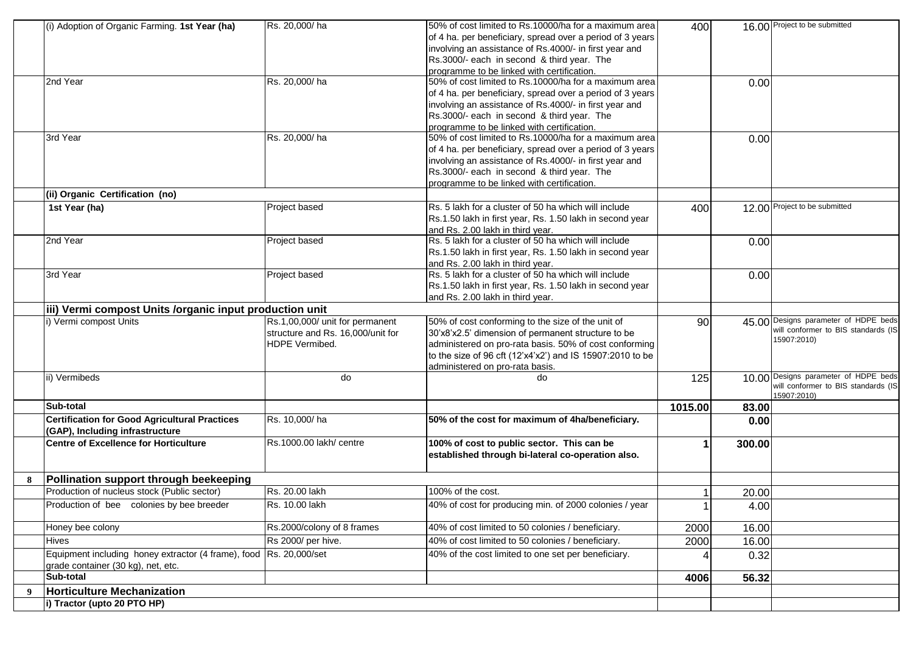|   | (i) Adoption of Organic Farming. 1st Year (ha)                     | Rs. 20,000/ha                     | 50% of cost limited to Rs.10000/ha for a maximum area     | 400     |        | 16.00 Project to be submitted                      |
|---|--------------------------------------------------------------------|-----------------------------------|-----------------------------------------------------------|---------|--------|----------------------------------------------------|
|   |                                                                    |                                   | of 4 ha. per beneficiary, spread over a period of 3 years |         |        |                                                    |
|   |                                                                    |                                   | involving an assistance of Rs.4000/- in first year and    |         |        |                                                    |
|   |                                                                    |                                   | Rs.3000/- each in second & third year. The                |         |        |                                                    |
|   |                                                                    |                                   | programme to be linked with certification.                |         |        |                                                    |
|   | 2nd Year                                                           | Rs. 20,000/ha                     | 50% of cost limited to Rs.10000/ha for a maximum area     |         | 0.00   |                                                    |
|   |                                                                    |                                   | of 4 ha. per beneficiary, spread over a period of 3 years |         |        |                                                    |
|   |                                                                    |                                   | involving an assistance of Rs.4000/- in first year and    |         |        |                                                    |
|   |                                                                    |                                   | Rs.3000/- each in second & third year. The                |         |        |                                                    |
|   |                                                                    |                                   | programme to be linked with certification.                |         |        |                                                    |
|   | 3rd Year                                                           | Rs. 20,000/ha                     | 50% of cost limited to Rs.10000/ha for a maximum area     |         | 0.00   |                                                    |
|   |                                                                    |                                   | of 4 ha. per beneficiary, spread over a period of 3 years |         |        |                                                    |
|   |                                                                    |                                   | involving an assistance of Rs.4000/- in first year and    |         |        |                                                    |
|   |                                                                    |                                   | Rs.3000/- each in second & third year. The                |         |        |                                                    |
|   |                                                                    |                                   | programme to be linked with certification.                |         |        |                                                    |
|   | (ii) Organic Certification (no)                                    |                                   |                                                           |         |        |                                                    |
|   | 1st Year (ha)                                                      | Project based                     | Rs. 5 lakh for a cluster of 50 ha which will include      | 400     |        | 12.00 Project to be submitted                      |
|   |                                                                    |                                   | Rs.1.50 lakh in first year, Rs. 1.50 lakh in second year  |         |        |                                                    |
|   |                                                                    |                                   | and Rs. 2.00 lakh in third year.                          |         |        |                                                    |
|   | 2nd Year                                                           | Project based                     | Rs. 5 lakh for a cluster of 50 ha which will include      |         | 0.00   |                                                    |
|   |                                                                    |                                   | Rs.1.50 lakh in first year, Rs. 1.50 lakh in second year  |         |        |                                                    |
|   |                                                                    |                                   | and Rs. 2.00 lakh in third year.                          |         |        |                                                    |
|   | 3rd Year                                                           | Project based                     | Rs. 5 lakh for a cluster of 50 ha which will include      |         | 0.00   |                                                    |
|   |                                                                    |                                   | Rs.1.50 lakh in first year, Rs. 1.50 lakh in second year  |         |        |                                                    |
|   |                                                                    |                                   | and Rs. 2.00 lakh in third year.                          |         |        |                                                    |
|   | iii) Vermi compost Units /organic input production unit            |                                   |                                                           |         |        |                                                    |
|   | i) Vermi compost Units                                             | Rs.1,00,000/ unit for permanent   | 50% of cost conforming to the size of the unit of         | 90      |        | 45.00 Designs parameter of HDPE beds               |
|   |                                                                    | structure and Rs. 16,000/unit for | 30'x8'x2.5' dimension of permanent structure to be        |         |        | will conformer to BIS standards (IS                |
|   |                                                                    | HDPE Vermibed.                    | administered on pro-rata basis. 50% of cost conforming    |         |        | 15907:2010)                                        |
|   |                                                                    |                                   | to the size of 96 cft (12'x4'x2') and IS 15907:2010 to be |         |        |                                                    |
|   |                                                                    |                                   | administered on pro-rata basis.                           |         |        |                                                    |
|   | ii) Vermibeds                                                      | do                                | do                                                        | 125     |        | 10.00 Designs parameter of HDPE beds               |
|   |                                                                    |                                   |                                                           |         |        | will conformer to BIS standards (IS<br>15907:2010) |
|   | Sub-total                                                          |                                   |                                                           | 1015.00 | 83.00  |                                                    |
|   | <b>Certification for Good Agricultural Practices</b>               | Rs. 10,000/ha                     | 50% of the cost for maximum of 4ha/beneficiary.           |         | 0.00   |                                                    |
|   | (GAP), Including infrastructure                                    |                                   |                                                           |         |        |                                                    |
|   | <b>Centre of Excellence for Horticulture</b>                       | Rs.1000.00 lakh/ centre           | 100% of cost to public sector. This can be                |         | 300.00 |                                                    |
|   |                                                                    |                                   | established through bi-lateral co-operation also.         |         |        |                                                    |
|   |                                                                    |                                   |                                                           |         |        |                                                    |
| 8 | Pollination support through beekeeping                             |                                   |                                                           |         |        |                                                    |
|   | Production of nucleus stock (Public sector)                        | Rs. 20.00 lakh                    | 100% of the cost.                                         |         | 20.00  |                                                    |
|   | Production of bee colonies by bee breeder                          | Rs. 10.00 lakh                    | 40% of cost for producing min. of 2000 colonies / year    |         | 4.00   |                                                    |
|   | Honey bee colony                                                   | Rs.2000/colony of 8 frames        | 40% of cost limited to 50 colonies / beneficiary.         | 2000    | 16.00  |                                                    |
|   | <b>Hives</b>                                                       | Rs 2000/ per hive.                | 40% of cost limited to 50 colonies / beneficiary.         | 2000    | 16.00  |                                                    |
|   | Equipment including honey extractor (4 frame), food Rs. 20,000/set |                                   | 40% of the cost limited to one set per beneficiary.       |         | 0.32   |                                                    |
|   | grade container (30 kg), net, etc.                                 |                                   |                                                           |         |        |                                                    |
|   | Sub-total                                                          |                                   |                                                           | 4006    | 56.32  |                                                    |
| 9 | <b>Horticulture Mechanization</b>                                  |                                   |                                                           |         |        |                                                    |
|   | i) Tractor (upto 20 PTO HP)                                        |                                   |                                                           |         |        |                                                    |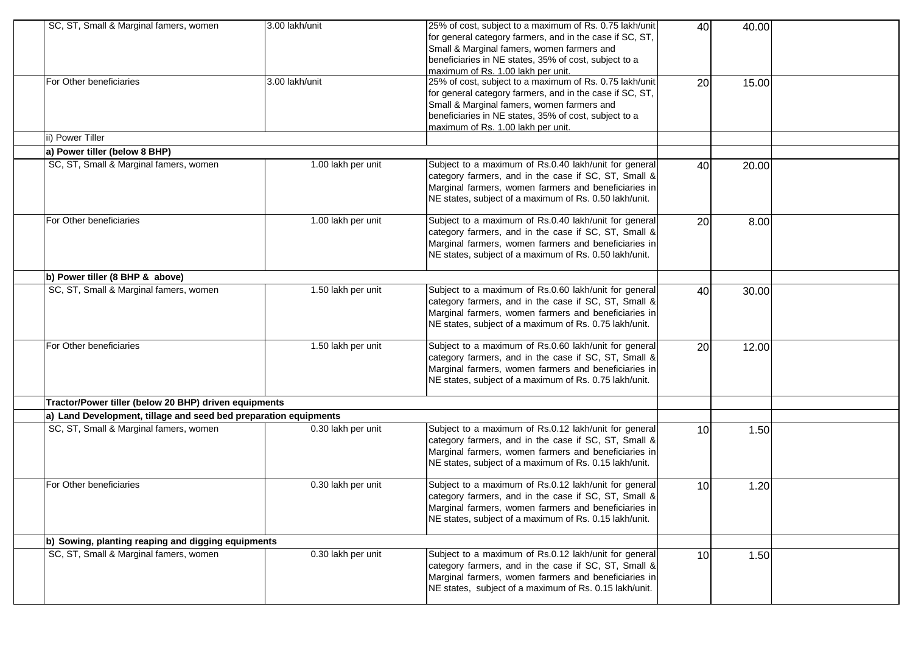| SC, ST, Small & Marginal famers, women                           | 3.00 lakh/unit     | 25% of cost, subject to a maximum of Rs. 0.75 lakh/unit<br>for general category farmers, and in the case if SC, ST,<br>Small & Marginal famers, women farmers and<br>beneficiaries in NE states, 35% of cost, subject to a<br>maximum of Rs. 1.00 lakh per unit. | 40              | 40.00 |  |  |  |
|------------------------------------------------------------------|--------------------|------------------------------------------------------------------------------------------------------------------------------------------------------------------------------------------------------------------------------------------------------------------|-----------------|-------|--|--|--|
| For Other beneficiaries                                          | 3.00 lakh/unit     | 25% of cost, subject to a maximum of Rs. 0.75 lakh/unit<br>for general category farmers, and in the case if SC, ST,<br>Small & Marginal famers, women farmers and<br>beneficiaries in NE states, 35% of cost, subject to a<br>maximum of Rs. 1.00 lakh per unit. | 20              | 15.00 |  |  |  |
| ii) Power Tiller                                                 |                    |                                                                                                                                                                                                                                                                  |                 |       |  |  |  |
| a) Power tiller (below 8 BHP)                                    |                    |                                                                                                                                                                                                                                                                  |                 |       |  |  |  |
| SC, ST, Small & Marginal famers, women                           | 1.00 lakh per unit | Subject to a maximum of Rs.0.40 lakh/unit for general<br>category farmers, and in the case if SC, ST, Small &<br>Marginal farmers, women farmers and beneficiaries in<br>NE states, subject of a maximum of Rs. 0.50 lakh/unit.                                  | 40              | 20.00 |  |  |  |
| For Other beneficiaries                                          | 1.00 lakh per unit | Subject to a maximum of Rs.0.40 lakh/unit for general<br>category farmers, and in the case if SC, ST, Small &<br>Marginal farmers, women farmers and beneficiaries in<br>NE states, subject of a maximum of Rs. 0.50 lakh/unit.                                  | 20              | 8.00  |  |  |  |
| b) Power tiller (8 BHP & above)                                  |                    |                                                                                                                                                                                                                                                                  |                 |       |  |  |  |
| SC, ST, Small & Marginal famers, women                           | 1.50 lakh per unit | Subject to a maximum of Rs.0.60 lakh/unit for general<br>category farmers, and in the case if SC, ST, Small &<br>Marginal farmers, women farmers and beneficiaries in<br>NE states, subject of a maximum of Rs. 0.75 lakh/unit.                                  | 40              | 30.00 |  |  |  |
| For Other beneficiaries                                          | 1.50 lakh per unit | Subject to a maximum of Rs.0.60 lakh/unit for general<br>category farmers, and in the case if SC, ST, Small &<br>Marginal farmers, women farmers and beneficiaries in<br>NE states, subject of a maximum of Rs. 0.75 lakh/unit.                                  | 20              | 12.00 |  |  |  |
| Tractor/Power tiller (below 20 BHP) driven equipments            |                    |                                                                                                                                                                                                                                                                  |                 |       |  |  |  |
| a) Land Development, tillage and seed bed preparation equipments |                    |                                                                                                                                                                                                                                                                  |                 |       |  |  |  |
| SC, ST, Small & Marginal famers, women                           | 0.30 lakh per unit | Subject to a maximum of Rs.0.12 lakh/unit for general<br>category farmers, and in the case if SC, ST, Small &<br>Marginal farmers, women farmers and beneficiaries in<br>NE states, subject of a maximum of Rs. 0.15 lakh/unit.                                  | 10              | 1.50  |  |  |  |
| For Other beneficiaries                                          | 0.30 lakh per unit | Subject to a maximum of Rs.0.12 lakh/unit for general<br>category farmers, and in the case if SC, ST, Small &<br>Marginal farmers, women farmers and beneficiaries in<br>NE states, subject of a maximum of Rs. 0.15 lakh/unit.                                  | 10              | 1.20  |  |  |  |
| b) Sowing, planting reaping and digging equipments               |                    |                                                                                                                                                                                                                                                                  |                 |       |  |  |  |
| SC, ST, Small & Marginal famers, women                           | 0.30 lakh per unit | Subject to a maximum of Rs.0.12 lakh/unit for general<br>category farmers, and in the case if SC, ST, Small &<br>Marginal farmers, women farmers and beneficiaries in<br>NE states, subject of a maximum of Rs. 0.15 lakh/unit.                                  | 10 <sup>1</sup> | 1.50  |  |  |  |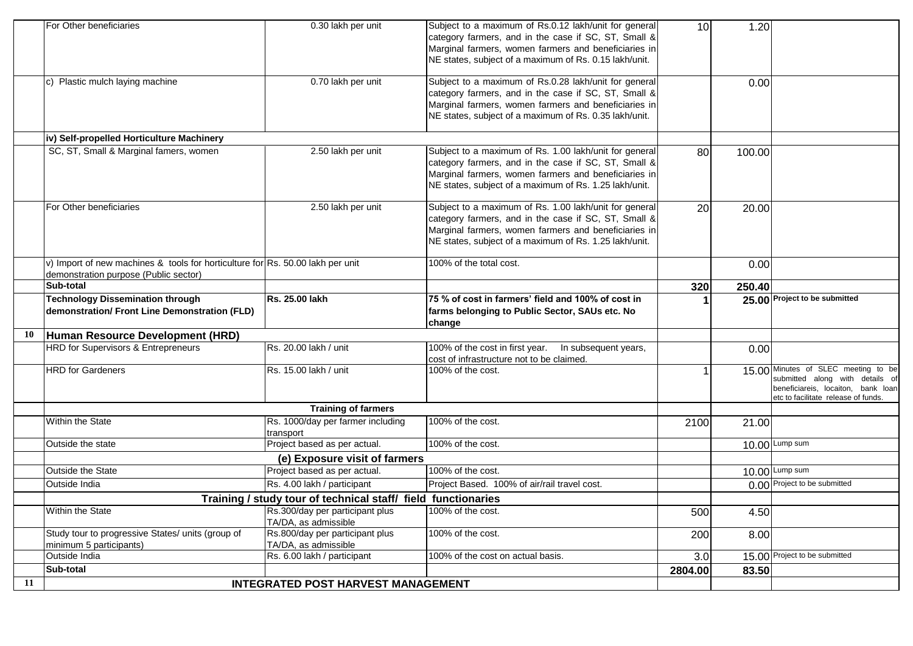|    | For Other beneficiaries                                                                                                 | 0.30 lakh per unit                                      | Subject to a maximum of Rs.0.12 lakh/unit for general<br>category farmers, and in the case if SC, ST, Small &<br>Marginal farmers, women farmers and beneficiaries in<br>NE states, subject of a maximum of Rs. 0.15 lakh/unit.  | 10      | 1.20   |                                                                                                                                                     |
|----|-------------------------------------------------------------------------------------------------------------------------|---------------------------------------------------------|----------------------------------------------------------------------------------------------------------------------------------------------------------------------------------------------------------------------------------|---------|--------|-----------------------------------------------------------------------------------------------------------------------------------------------------|
|    | c) Plastic mulch laying machine                                                                                         | 0.70 lakh per unit                                      | Subject to a maximum of Rs.0.28 lakh/unit for general<br>category farmers, and in the case if SC, ST, Small &<br>Marginal farmers, women farmers and beneficiaries in<br>NE states, subject of a maximum of Rs. 0.35 lakh/unit.  |         | 0.00   |                                                                                                                                                     |
|    | iv) Self-propelled Horticulture Machinery                                                                               |                                                         |                                                                                                                                                                                                                                  |         |        |                                                                                                                                                     |
|    | SC, ST, Small & Marginal famers, women                                                                                  | 2.50 lakh per unit                                      | Subject to a maximum of Rs. 1.00 lakh/unit for general<br>category farmers, and in the case if SC, ST, Small &<br>Marginal farmers, women farmers and beneficiaries in<br>NE states, subject of a maximum of Rs. 1.25 lakh/unit. | 80      | 100.00 |                                                                                                                                                     |
|    | For Other beneficiaries                                                                                                 | 2.50 lakh per unit                                      | Subject to a maximum of Rs. 1.00 lakh/unit for general<br>category farmers, and in the case if SC, ST, Small &<br>Marginal farmers, women farmers and beneficiaries in<br>NE states, subject of a maximum of Rs. 1.25 lakh/unit. | 20      | 20.00  |                                                                                                                                                     |
|    | v) Import of new machines & tools for horticulture for Rs. 50.00 lakh per unit<br>demonstration purpose (Public sector) |                                                         | 100% of the total cost.                                                                                                                                                                                                          |         | 0.00   |                                                                                                                                                     |
|    | Sub-total                                                                                                               |                                                         |                                                                                                                                                                                                                                  | 320     | 250.40 |                                                                                                                                                     |
|    | <b>Technology Dissemination through</b><br>demonstration/ Front Line Demonstration (FLD)                                | Rs. 25.00 lakh                                          | 75 % of cost in farmers' field and 100% of cost in<br>farms belonging to Public Sector, SAUs etc. No<br>change                                                                                                                   |         |        | 25.00 Project to be submitted                                                                                                                       |
| 10 | Human Resource Development (HRD)                                                                                        |                                                         |                                                                                                                                                                                                                                  |         |        |                                                                                                                                                     |
|    | HRD for Supervisors & Entrepreneurs                                                                                     | Rs. 20.00 lakh / unit                                   | 100% of the cost in first year.<br>In subsequent years,<br>cost of infrastructure not to be claimed.                                                                                                                             |         | 0.00   |                                                                                                                                                     |
|    | <b>HRD</b> for Gardeners                                                                                                | Rs. 15.00 lakh / unit                                   | 100% of the cost.                                                                                                                                                                                                                |         |        | 15.00 Minutes of SLEC meeting to be<br>submitted along with details of<br>beneficiareis, locaiton, bank loan<br>etc to facilitate release of funds. |
|    |                                                                                                                         | <b>Training of farmers</b>                              |                                                                                                                                                                                                                                  |         |        |                                                                                                                                                     |
|    | Within the State                                                                                                        | Rs. 1000/day per farmer including<br>transport          | 100% of the cost.                                                                                                                                                                                                                | 2100    | 21.00  |                                                                                                                                                     |
|    | Outside the state                                                                                                       | Project based as per actual.                            | 100% of the cost.                                                                                                                                                                                                                |         |        | 10.00 Lump sum                                                                                                                                      |
|    |                                                                                                                         | (e) Exposure visit of farmers                           |                                                                                                                                                                                                                                  |         |        |                                                                                                                                                     |
|    | Outside the State                                                                                                       | Project based as per actual.                            | 100% of the cost.                                                                                                                                                                                                                |         |        | $10.00$ Lump sum                                                                                                                                    |
|    | Outside India                                                                                                           | Rs. 4.00 lakh / participant                             | Project Based. 100% of air/rail travel cost.                                                                                                                                                                                     |         |        | 0.00 Project to be submitted                                                                                                                        |
|    | Training / study tour of technical staff/ field functionaries                                                           |                                                         |                                                                                                                                                                                                                                  |         |        |                                                                                                                                                     |
|    | <b>Within the State</b>                                                                                                 | Rs.300/day per participant plus<br>TA/DA, as admissible | 100% of the cost.                                                                                                                                                                                                                | 500     | 4.50   |                                                                                                                                                     |
|    | Study tour to progressive States/ units (group of                                                                       | Rs.800/day per participant plus                         | 100% of the cost.                                                                                                                                                                                                                | 200     | 8.00   |                                                                                                                                                     |
|    | minimum 5 participants)<br>Outside India                                                                                | TA/DA, as admissible<br>Rs. 6.00 lakh / participant     | 100% of the cost on actual basis.                                                                                                                                                                                                | 3.0     |        | 15.00 Project to be submitted                                                                                                                       |
|    | Sub-total                                                                                                               |                                                         |                                                                                                                                                                                                                                  | 2804.00 | 83.50  |                                                                                                                                                     |
| 11 |                                                                                                                         | <b>INTEGRATED POST HARVEST MANAGEMENT</b>               |                                                                                                                                                                                                                                  |         |        |                                                                                                                                                     |
|    |                                                                                                                         |                                                         |                                                                                                                                                                                                                                  |         |        |                                                                                                                                                     |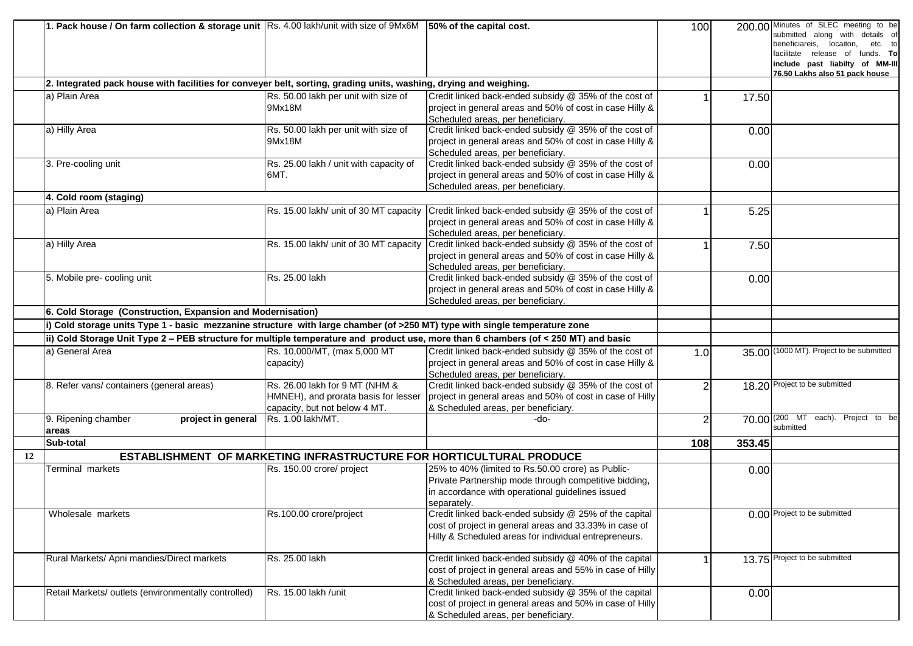|    | 1. Pack house / On farm collection & storage unit Rs. 4.00 lakh/unit with size of 9Mx6M 50% of the capital cost.                    |                                                                     |                                                                                              | 100            |        | 200.00 Minutes of SLEC meeting to be<br>submitted along with details of |
|----|-------------------------------------------------------------------------------------------------------------------------------------|---------------------------------------------------------------------|----------------------------------------------------------------------------------------------|----------------|--------|-------------------------------------------------------------------------|
|    |                                                                                                                                     |                                                                     |                                                                                              |                |        | beneficiareis, locaiton,<br>etc to                                      |
|    |                                                                                                                                     |                                                                     |                                                                                              |                |        | facilitate release of funds. To                                         |
|    |                                                                                                                                     |                                                                     |                                                                                              |                |        | include past liabilty of MM-III<br>76.50 Lakhs also 51 pack house       |
|    | 2. Integrated pack house with facilities for conveyer belt, sorting, grading units, washing, drying and weighing.                   |                                                                     |                                                                                              |                |        |                                                                         |
|    | la) Plain Area                                                                                                                      | Rs. 50.00 lakh per unit with size of                                | Credit linked back-ended subsidy @ 35% of the cost of                                        |                | 17.50  |                                                                         |
|    |                                                                                                                                     | 9Mx18M                                                              | project in general areas and 50% of cost in case Hilly &                                     |                |        |                                                                         |
|    |                                                                                                                                     |                                                                     | Scheduled areas, per beneficiary.                                                            |                |        |                                                                         |
|    | a) Hilly Area                                                                                                                       | Rs. 50.00 lakh per unit with size of                                | Credit linked back-ended subsidy @ 35% of the cost of                                        |                | 0.00   |                                                                         |
|    |                                                                                                                                     | 9Mx18M                                                              | project in general areas and 50% of cost in case Hilly &                                     |                |        |                                                                         |
|    |                                                                                                                                     |                                                                     | Scheduled areas, per beneficiary.                                                            |                |        |                                                                         |
|    | 3. Pre-cooling unit                                                                                                                 | Rs. 25.00 lakh / unit with capacity of                              | Credit linked back-ended subsidy @ 35% of the cost of                                        |                | 0.00   |                                                                         |
|    |                                                                                                                                     | 6MT.                                                                | project in general areas and 50% of cost in case Hilly &                                     |                |        |                                                                         |
|    |                                                                                                                                     |                                                                     | Scheduled areas, per beneficiary.                                                            |                |        |                                                                         |
|    | 4. Cold room (staging)                                                                                                              |                                                                     |                                                                                              |                |        |                                                                         |
|    | a) Plain Area                                                                                                                       |                                                                     | Rs. 15.00 lakh/ unit of 30 MT capacity Credit linked back-ended subsidy @ 35% of the cost of |                | 5.25   |                                                                         |
|    |                                                                                                                                     |                                                                     | project in general areas and 50% of cost in case Hilly &                                     |                |        |                                                                         |
|    |                                                                                                                                     |                                                                     | Scheduled areas, per beneficiary.                                                            |                |        |                                                                         |
|    | a) Hilly Area                                                                                                                       | Rs. 15.00 lakh/ unit of 30 MT capacity                              | Credit linked back-ended subsidy @ 35% of the cost of                                        |                | 7.50   |                                                                         |
|    |                                                                                                                                     |                                                                     | project in general areas and 50% of cost in case Hilly &                                     |                |        |                                                                         |
|    |                                                                                                                                     |                                                                     | Scheduled areas, per beneficiary.                                                            |                |        |                                                                         |
|    | 5. Mobile pre- cooling unit                                                                                                         | Rs. 25.00 lakh                                                      | Credit linked back-ended subsidy @ 35% of the cost of                                        |                | 0.00   |                                                                         |
|    |                                                                                                                                     |                                                                     | project in general areas and 50% of cost in case Hilly &                                     |                |        |                                                                         |
|    |                                                                                                                                     |                                                                     | Scheduled areas, per beneficiary.                                                            |                |        |                                                                         |
|    | 6. Cold Storage (Construction, Expansion and Modernisation)                                                                         |                                                                     |                                                                                              |                |        |                                                                         |
|    | i) Cold storage units Type 1 - basic mezzanine structure with large chamber (of >250 MT) type with single temperature zone          |                                                                     |                                                                                              |                |        |                                                                         |
|    | ii) Cold Storage Unit Type 2 - PEB structure for multiple temperature and product use, more than 6 chambers (of < 250 MT) and basic |                                                                     |                                                                                              |                |        |                                                                         |
|    | a) General Area                                                                                                                     | Rs. 10,000/MT, (max 5,000 MT                                        | Credit linked back-ended subsidy @ 35% of the cost of                                        | 1.0            |        | 35.00 (1000 MT). Project to be submitted                                |
|    |                                                                                                                                     | capacity)                                                           | project in general areas and 50% of cost in case Hilly &                                     |                |        |                                                                         |
|    |                                                                                                                                     |                                                                     | Scheduled areas, per beneficiary.                                                            |                |        |                                                                         |
|    | 8. Refer vans/ containers (general areas)                                                                                           | Rs. 26.00 lakh for 9 MT (NHM &                                      | Credit linked back-ended subsidy @ 35% of the cost of                                        | $\overline{2}$ |        | 18.20 Project to be submitted                                           |
|    |                                                                                                                                     | HMNEH), and prorata basis for lesser                                | project in general areas and 50% of cost in case of Hilly                                    |                |        |                                                                         |
|    |                                                                                                                                     | capacity, but not below 4 MT.                                       | & Scheduled areas, per beneficiary.                                                          |                |        |                                                                         |
|    | 9. Ripening chamber<br>project in general                                                                                           | Rs. 1.00 lakh/MT.                                                   | -do-                                                                                         | $\overline{2}$ |        | 70.00 (200 MT each). Project to be                                      |
|    | areas                                                                                                                               |                                                                     |                                                                                              |                |        | submitted                                                               |
|    | Sub-total                                                                                                                           |                                                                     |                                                                                              | 108            | 353.45 |                                                                         |
| 12 |                                                                                                                                     | ESTABLISHMENT OF MARKETING INFRASTRUCTURE FOR HORTICULTURAL PRODUCE |                                                                                              |                |        |                                                                         |
|    | Terminal markets                                                                                                                    | Rs. 150.00 crore/ project                                           | 25% to 40% (limited to Rs.50.00 crore) as Public-                                            |                | 0.00   |                                                                         |
|    |                                                                                                                                     |                                                                     | Private Partnership mode through competitive bidding,                                        |                |        |                                                                         |
|    |                                                                                                                                     |                                                                     | in accordance with operational guidelines issued                                             |                |        |                                                                         |
|    |                                                                                                                                     |                                                                     | separately.                                                                                  |                |        |                                                                         |
|    | Wholesale markets                                                                                                                   | Rs.100.00 crore/project                                             | Credit linked back-ended subsidy @ 25% of the capital                                        |                |        | 0.00 Project to be submitted                                            |
|    |                                                                                                                                     |                                                                     | cost of project in general areas and 33.33% in case of                                       |                |        |                                                                         |
|    |                                                                                                                                     |                                                                     | Hilly & Scheduled areas for individual entrepreneurs.                                        |                |        |                                                                         |
|    | Rural Markets/ Apni mandies/Direct markets                                                                                          | Rs. 25.00 lakh                                                      | Credit linked back-ended subsidy @ 40% of the capital                                        |                |        | 13.75 Project to be submitted                                           |
|    |                                                                                                                                     |                                                                     | cost of project in general areas and 55% in case of Hilly                                    |                |        |                                                                         |
|    |                                                                                                                                     |                                                                     | & Scheduled areas, per beneficiary.                                                          |                |        |                                                                         |
|    | Retail Markets/ outlets (environmentally controlled)                                                                                | Rs. 15.00 lakh /unit                                                | Credit linked back-ended subsidy @ 35% of the capital                                        |                | 0.00   |                                                                         |
|    |                                                                                                                                     |                                                                     | cost of project in general areas and 50% in case of Hilly                                    |                |        |                                                                         |
|    |                                                                                                                                     |                                                                     | & Scheduled areas, per beneficiary.                                                          |                |        |                                                                         |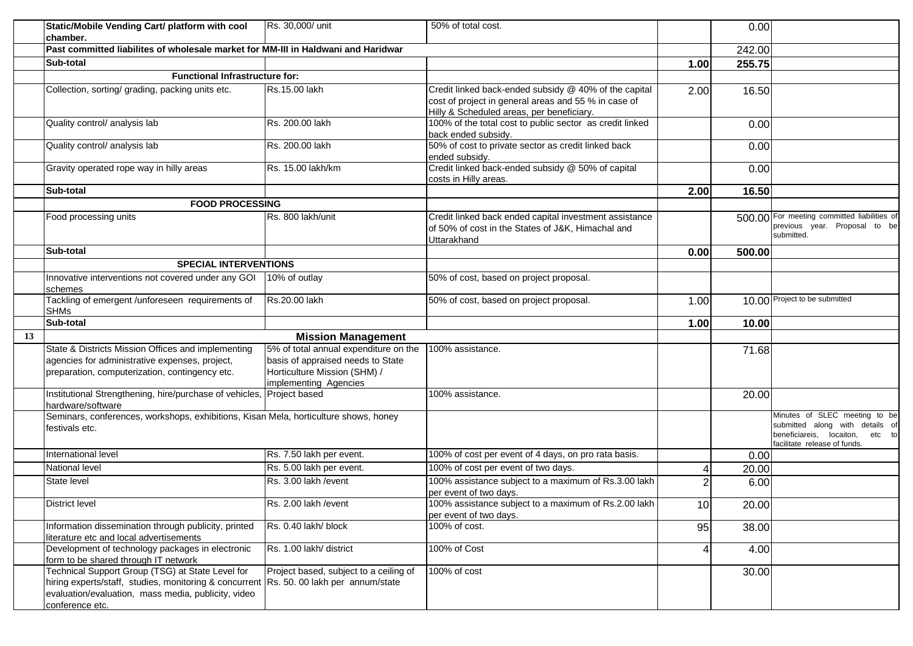|    | Static/Mobile Vending Cart/ platform with cool                                                                                                                                                                       | Rs. 30,000/ unit                                      | 50% of total cost.                                                                                                         |                         | 0.00   |                                                                                                                                     |
|----|----------------------------------------------------------------------------------------------------------------------------------------------------------------------------------------------------------------------|-------------------------------------------------------|----------------------------------------------------------------------------------------------------------------------------|-------------------------|--------|-------------------------------------------------------------------------------------------------------------------------------------|
|    | chamber.<br>Past committed liabilites of wholesale market for MM-III in Haldwani and Haridwar                                                                                                                        |                                                       |                                                                                                                            |                         |        |                                                                                                                                     |
|    |                                                                                                                                                                                                                      |                                                       |                                                                                                                            |                         | 242.00 |                                                                                                                                     |
|    | Sub-total                                                                                                                                                                                                            |                                                       |                                                                                                                            | 1.00                    | 255.75 |                                                                                                                                     |
|    | <b>Functional Infrastructure for:</b>                                                                                                                                                                                |                                                       |                                                                                                                            |                         |        |                                                                                                                                     |
|    | Collection, sorting/ grading, packing units etc.                                                                                                                                                                     | Rs.15.00 lakh                                         | Credit linked back-ended subsidy @ 40% of the capital<br>cost of project in general areas and 55 % in case of              | 2.00                    | 16.50  |                                                                                                                                     |
|    |                                                                                                                                                                                                                      |                                                       | Hilly & Scheduled areas, per beneficiary.                                                                                  |                         |        |                                                                                                                                     |
|    | Quality control/ analysis lab                                                                                                                                                                                        | Rs. 200.00 lakh                                       | 100% of the total cost to public sector as credit linked<br>back ended subsidy.                                            |                         | 0.00   |                                                                                                                                     |
|    | Quality control/ analysis lab                                                                                                                                                                                        | Rs. 200.00 lakh                                       | 50% of cost to private sector as credit linked back<br>ended subsidy.                                                      |                         | 0.00   |                                                                                                                                     |
|    | Gravity operated rope way in hilly areas                                                                                                                                                                             | Rs. 15.00 lakh/km                                     | Credit linked back-ended subsidy @ 50% of capital<br>costs in Hilly areas.                                                 |                         | 0.00   |                                                                                                                                     |
|    | Sub-total                                                                                                                                                                                                            |                                                       |                                                                                                                            | 2.00                    | 16.50  |                                                                                                                                     |
|    | <b>FOOD PROCESSING</b>                                                                                                                                                                                               |                                                       |                                                                                                                            |                         |        |                                                                                                                                     |
|    | Food processing units                                                                                                                                                                                                | Rs. 800 lakh/unit                                     | Credit linked back ended capital investment assistance<br>of 50% of cost in the States of J&K, Himachal and<br>Uttarakhand |                         |        | 500.00 For meeting committed liabilities of<br>previous year. Proposal to be<br>submitted.                                          |
|    | Sub-total                                                                                                                                                                                                            |                                                       |                                                                                                                            | 0.00                    | 500.00 |                                                                                                                                     |
|    | <b>SPECIAL INTERVENTIONS</b>                                                                                                                                                                                         |                                                       |                                                                                                                            |                         |        |                                                                                                                                     |
|    | Innovative interventions not covered under any GOI<br>schemes                                                                                                                                                        | 10% of outlay                                         | 50% of cost, based on project proposal.                                                                                    |                         |        |                                                                                                                                     |
|    | Tackling of emergent /unforeseen requirements of<br><b>SHMs</b>                                                                                                                                                      | Rs.20.00 lakh                                         | 50% of cost, based on project proposal.                                                                                    | 1.00                    |        | 10.00 Project to be submitted                                                                                                       |
|    | Sub-total                                                                                                                                                                                                            |                                                       |                                                                                                                            | 1.00                    | 10.00  |                                                                                                                                     |
| 13 |                                                                                                                                                                                                                      | <b>Mission Management</b>                             |                                                                                                                            |                         |        |                                                                                                                                     |
|    | State & Districts Mission Offices and implementing                                                                                                                                                                   | 5% of total annual expenditure on the                 | 100% assistance.                                                                                                           |                         | 71.68  |                                                                                                                                     |
|    | agencies for administrative expenses, project,                                                                                                                                                                       | basis of appraised needs to State                     |                                                                                                                            |                         |        |                                                                                                                                     |
|    | preparation, computerization, contingency etc.                                                                                                                                                                       | Horticulture Mission (SHM) /<br>implementing Agencies |                                                                                                                            |                         |        |                                                                                                                                     |
|    | Institutional Strengthening, hire/purchase of vehicles, Project based<br>hardware/software                                                                                                                           |                                                       | 100% assistance.                                                                                                           |                         | 20.00  |                                                                                                                                     |
|    | Seminars, conferences, workshops, exhibitions, Kisan Mela, horticulture shows, honey<br>festivals etc.                                                                                                               |                                                       |                                                                                                                            |                         |        | Minutes of SLEC meeting to be<br>submitted along with details of<br>beneficiareis, locaiton, etc to<br>facilitate release of funds. |
|    | International level                                                                                                                                                                                                  | Rs. 7.50 lakh per event.                              | 100% of cost per event of 4 days, on pro rata basis.                                                                       |                         | 0.00   |                                                                                                                                     |
|    | National level                                                                                                                                                                                                       | Rs. 5.00 lakh per event.                              | 100% of cost per event of two days.                                                                                        | $\overline{\mathbf{4}}$ | 20.00  |                                                                                                                                     |
|    | State level                                                                                                                                                                                                          | Rs. 3.00 lakh / event                                 | 100% assistance subject to a maximum of Rs.3.00 lakh<br>per event of two days.                                             | $\overline{2}$          | 6.00   |                                                                                                                                     |
|    | <b>District level</b>                                                                                                                                                                                                | Rs. 2.00 lakh / event                                 | 100% assistance subject to a maximum of Rs.2.00 lakh<br>per event of two days.                                             | 10                      | 20.00  |                                                                                                                                     |
|    | Information dissemination through publicity, printed<br>literature etc and local advertisements                                                                                                                      | Rs. 0.40 lakh/ block                                  | 100% of cost.                                                                                                              | 95                      | 38.00  |                                                                                                                                     |
|    | Development of technology packages in electronic<br>form to be shared through IT network                                                                                                                             | Rs. 1.00 lakh/ district                               | 100% of Cost                                                                                                               | 4                       | 4.00   |                                                                                                                                     |
|    | Technical Support Group (TSG) at State Level for<br>hiring experts/staff, studies, monitoring & concurrent Rs. 50. 00 lakh per annum/state<br>evaluation/evaluation, mass media, publicity, video<br>conference etc. | Project based, subject to a ceiling of                | 100% of cost                                                                                                               |                         | 30.00  |                                                                                                                                     |